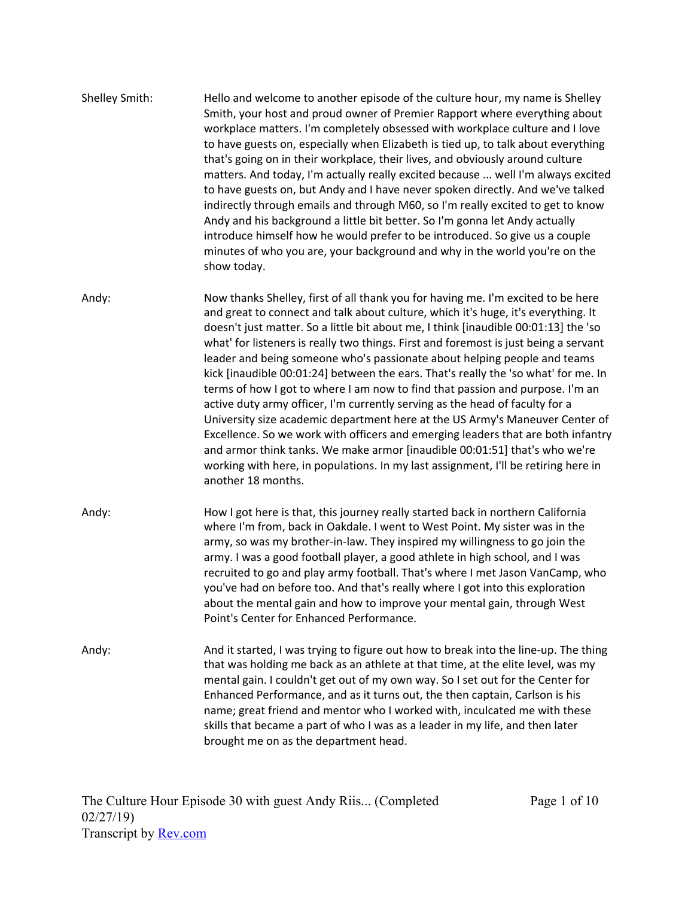| Shelley Smith: | Hello and welcome to another episode of the culture hour, my name is Shelley<br>Smith, your host and proud owner of Premier Rapport where everything about<br>workplace matters. I'm completely obsessed with workplace culture and I love<br>to have guests on, especially when Elizabeth is tied up, to talk about everything<br>that's going on in their workplace, their lives, and obviously around culture<br>matters. And today, I'm actually really excited because  well I'm always excited<br>to have guests on, but Andy and I have never spoken directly. And we've talked<br>indirectly through emails and through M60, so I'm really excited to get to know<br>Andy and his background a little bit better. So I'm gonna let Andy actually<br>introduce himself how he would prefer to be introduced. So give us a couple<br>minutes of who you are, your background and why in the world you're on the<br>show today.                                                                                                                  |
|----------------|-------------------------------------------------------------------------------------------------------------------------------------------------------------------------------------------------------------------------------------------------------------------------------------------------------------------------------------------------------------------------------------------------------------------------------------------------------------------------------------------------------------------------------------------------------------------------------------------------------------------------------------------------------------------------------------------------------------------------------------------------------------------------------------------------------------------------------------------------------------------------------------------------------------------------------------------------------------------------------------------------------------------------------------------------------|
| Andy:          | Now thanks Shelley, first of all thank you for having me. I'm excited to be here<br>and great to connect and talk about culture, which it's huge, it's everything. It<br>doesn't just matter. So a little bit about me, I think [inaudible 00:01:13] the 'so<br>what' for listeners is really two things. First and foremost is just being a servant<br>leader and being someone who's passionate about helping people and teams<br>kick [inaudible 00:01:24] between the ears. That's really the 'so what' for me. In<br>terms of how I got to where I am now to find that passion and purpose. I'm an<br>active duty army officer, I'm currently serving as the head of faculty for a<br>University size academic department here at the US Army's Maneuver Center of<br>Excellence. So we work with officers and emerging leaders that are both infantry<br>and armor think tanks. We make armor [inaudible 00:01:51] that's who we're<br>working with here, in populations. In my last assignment, I'll be retiring here in<br>another 18 months. |
| Andy:          | How I got here is that, this journey really started back in northern California<br>where I'm from, back in Oakdale. I went to West Point. My sister was in the<br>army, so was my brother-in-law. They inspired my willingness to go join the<br>army. I was a good football player, a good athlete in high school, and I was<br>recruited to go and play army football. That's where I met Jason VanCamp, who<br>you've had on before too. And that's really where I got into this exploration<br>about the mental gain and how to improve your mental gain, through West<br>Point's Center for Enhanced Performance.                                                                                                                                                                                                                                                                                                                                                                                                                                |
| Andy:          | And it started, I was trying to figure out how to break into the line-up. The thing<br>that was holding me back as an athlete at that time, at the elite level, was my<br>mental gain. I couldn't get out of my own way. So I set out for the Center for<br>Enhanced Performance, and as it turns out, the then captain, Carlson is his<br>name; great friend and mentor who I worked with, inculcated me with these<br>skills that became a part of who I was as a leader in my life, and then later<br>brought me on as the department head.                                                                                                                                                                                                                                                                                                                                                                                                                                                                                                        |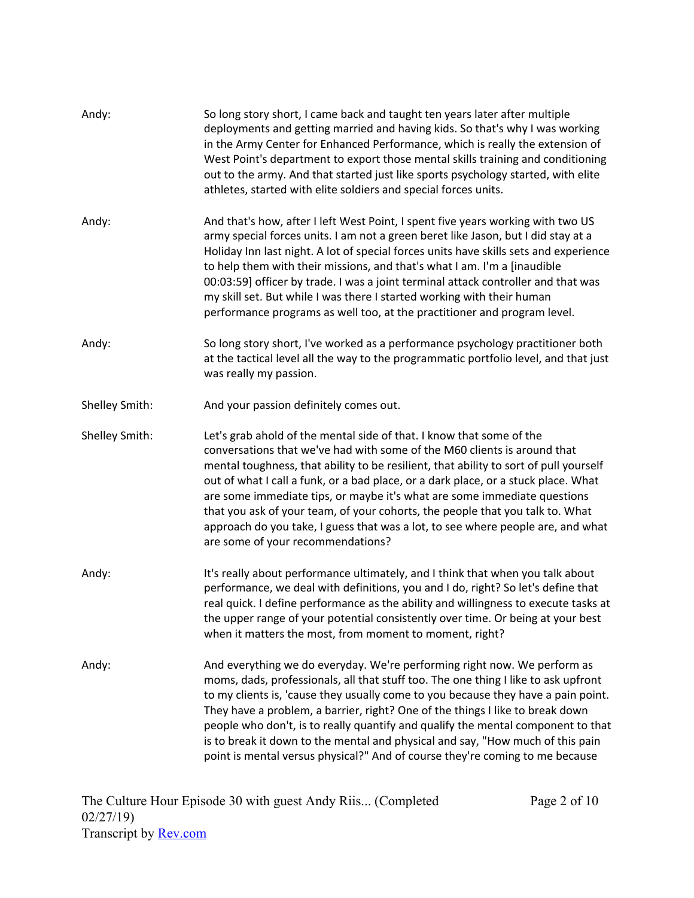| Andy:          | So long story short, I came back and taught ten years later after multiple<br>deployments and getting married and having kids. So that's why I was working<br>in the Army Center for Enhanced Performance, which is really the extension of<br>West Point's department to export those mental skills training and conditioning<br>out to the army. And that started just like sports psychology started, with elite<br>athletes, started with elite soldiers and special forces units.                                                                                                                               |
|----------------|----------------------------------------------------------------------------------------------------------------------------------------------------------------------------------------------------------------------------------------------------------------------------------------------------------------------------------------------------------------------------------------------------------------------------------------------------------------------------------------------------------------------------------------------------------------------------------------------------------------------|
| Andy:          | And that's how, after I left West Point, I spent five years working with two US<br>army special forces units. I am not a green beret like Jason, but I did stay at a<br>Holiday Inn last night. A lot of special forces units have skills sets and experience<br>to help them with their missions, and that's what I am. I'm a [inaudible<br>00:03:59] officer by trade. I was a joint terminal attack controller and that was<br>my skill set. But while I was there I started working with their human<br>performance programs as well too, at the practitioner and program level.                                 |
| Andy:          | So long story short, I've worked as a performance psychology practitioner both<br>at the tactical level all the way to the programmatic portfolio level, and that just<br>was really my passion.                                                                                                                                                                                                                                                                                                                                                                                                                     |
| Shelley Smith: | And your passion definitely comes out.                                                                                                                                                                                                                                                                                                                                                                                                                                                                                                                                                                               |
| Shelley Smith: | Let's grab ahold of the mental side of that. I know that some of the<br>conversations that we've had with some of the M60 clients is around that<br>mental toughness, that ability to be resilient, that ability to sort of pull yourself<br>out of what I call a funk, or a bad place, or a dark place, or a stuck place. What<br>are some immediate tips, or maybe it's what are some immediate questions<br>that you ask of your team, of your cohorts, the people that you talk to. What<br>approach do you take, I guess that was a lot, to see where people are, and what<br>are some of your recommendations? |
| Andy:          | It's really about performance ultimately, and I think that when you talk about<br>performance, we deal with definitions, you and I do, right? So let's define that<br>real quick. I define performance as the ability and willingness to execute tasks at<br>the upper range of your potential consistently over time. Or being at your best<br>when it matters the most, from moment to moment, right?                                                                                                                                                                                                              |
| Andy:          | And everything we do everyday. We're performing right now. We perform as<br>moms, dads, professionals, all that stuff too. The one thing I like to ask upfront<br>to my clients is, 'cause they usually come to you because they have a pain point.<br>They have a problem, a barrier, right? One of the things I like to break down<br>people who don't, is to really quantify and qualify the mental component to that<br>is to break it down to the mental and physical and say, "How much of this pain<br>point is mental versus physical?" And of course they're coming to me because                           |

Page 2 of 10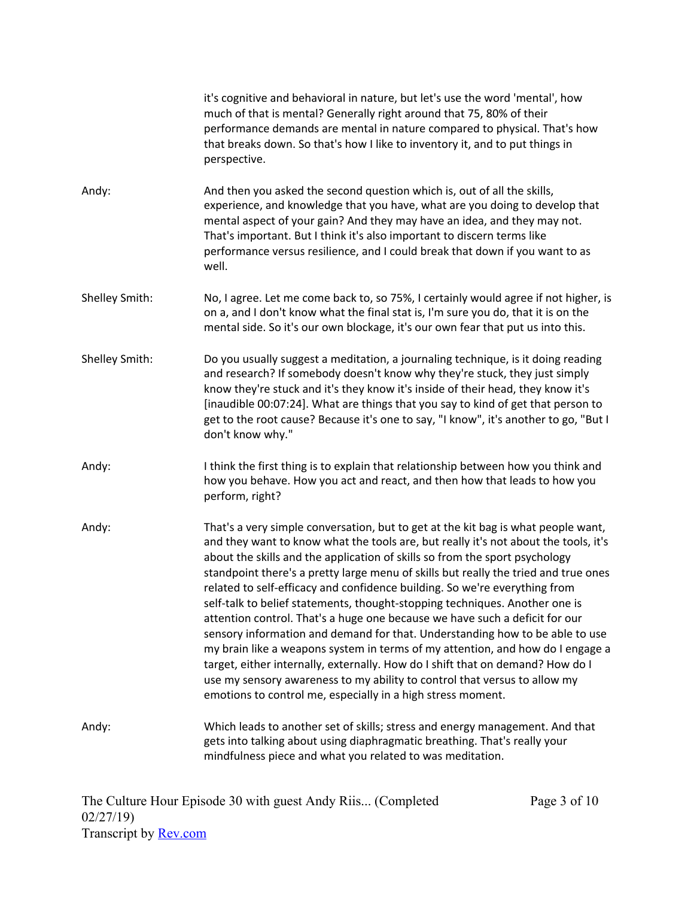|                | it's cognitive and behavioral in nature, but let's use the word 'mental', how<br>much of that is mental? Generally right around that 75, 80% of their<br>performance demands are mental in nature compared to physical. That's how<br>that breaks down. So that's how I like to inventory it, and to put things in<br>perspective.                                                                                                                                                                                                                                                                                                                                                                                                                                                                                                                                                                                                                                                         |
|----------------|--------------------------------------------------------------------------------------------------------------------------------------------------------------------------------------------------------------------------------------------------------------------------------------------------------------------------------------------------------------------------------------------------------------------------------------------------------------------------------------------------------------------------------------------------------------------------------------------------------------------------------------------------------------------------------------------------------------------------------------------------------------------------------------------------------------------------------------------------------------------------------------------------------------------------------------------------------------------------------------------|
| Andy:          | And then you asked the second question which is, out of all the skills,<br>experience, and knowledge that you have, what are you doing to develop that<br>mental aspect of your gain? And they may have an idea, and they may not.<br>That's important. But I think it's also important to discern terms like<br>performance versus resilience, and I could break that down if you want to as<br>well.                                                                                                                                                                                                                                                                                                                                                                                                                                                                                                                                                                                     |
| Shelley Smith: | No, I agree. Let me come back to, so 75%, I certainly would agree if not higher, is<br>on a, and I don't know what the final stat is, I'm sure you do, that it is on the<br>mental side. So it's our own blockage, it's our own fear that put us into this.                                                                                                                                                                                                                                                                                                                                                                                                                                                                                                                                                                                                                                                                                                                                |
| Shelley Smith: | Do you usually suggest a meditation, a journaling technique, is it doing reading<br>and research? If somebody doesn't know why they're stuck, they just simply<br>know they're stuck and it's they know it's inside of their head, they know it's<br>[inaudible 00:07:24]. What are things that you say to kind of get that person to<br>get to the root cause? Because it's one to say, "I know", it's another to go, "But I<br>don't know why."                                                                                                                                                                                                                                                                                                                                                                                                                                                                                                                                          |
| Andy:          | I think the first thing is to explain that relationship between how you think and<br>how you behave. How you act and react, and then how that leads to how you<br>perform, right?                                                                                                                                                                                                                                                                                                                                                                                                                                                                                                                                                                                                                                                                                                                                                                                                          |
| Andy:          | That's a very simple conversation, but to get at the kit bag is what people want,<br>and they want to know what the tools are, but really it's not about the tools, it's<br>about the skills and the application of skills so from the sport psychology<br>standpoint there's a pretty large menu of skills but really the tried and true ones<br>related to self-efficacy and confidence building. So we're everything from<br>self-talk to belief statements, thought-stopping techniques. Another one is<br>attention control. That's a huge one because we have such a deficit for our<br>sensory information and demand for that. Understanding how to be able to use<br>my brain like a weapons system in terms of my attention, and how do I engage a<br>target, either internally, externally. How do I shift that on demand? How do I<br>use my sensory awareness to my ability to control that versus to allow my<br>emotions to control me, especially in a high stress moment. |
| Andy:          | Which leads to another set of skills; stress and energy management. And that<br>gets into talking about using diaphragmatic breathing. That's really your<br>mindfulness piece and what you related to was meditation.                                                                                                                                                                                                                                                                                                                                                                                                                                                                                                                                                                                                                                                                                                                                                                     |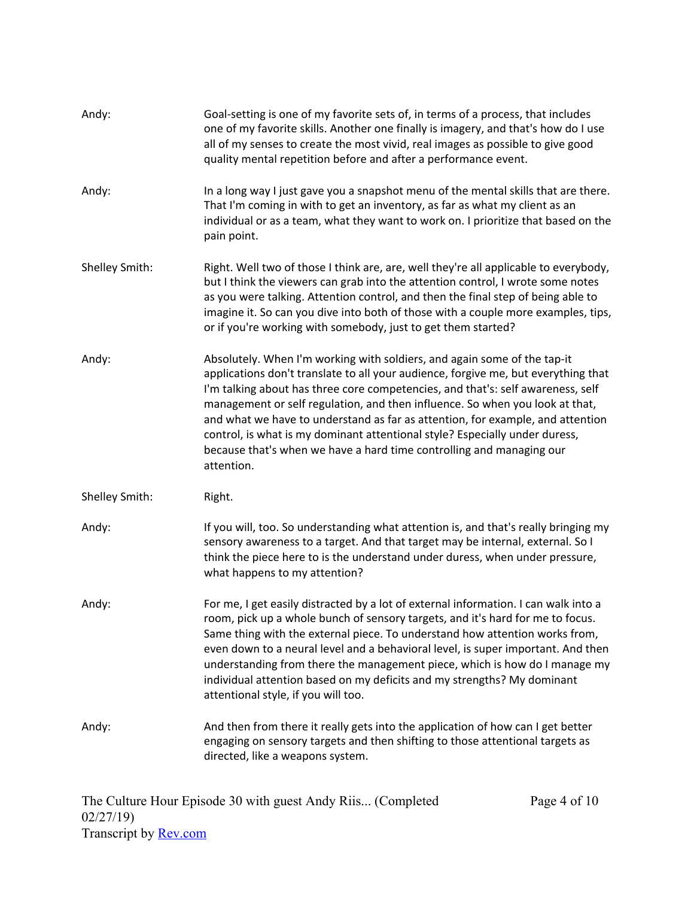| Andy:          | Goal-setting is one of my favorite sets of, in terms of a process, that includes<br>one of my favorite skills. Another one finally is imagery, and that's how do I use<br>all of my senses to create the most vivid, real images as possible to give good<br>quality mental repetition before and after a performance event.                                                                                                                                                                                                                                                             |
|----------------|------------------------------------------------------------------------------------------------------------------------------------------------------------------------------------------------------------------------------------------------------------------------------------------------------------------------------------------------------------------------------------------------------------------------------------------------------------------------------------------------------------------------------------------------------------------------------------------|
| Andy:          | In a long way I just gave you a snapshot menu of the mental skills that are there.<br>That I'm coming in with to get an inventory, as far as what my client as an<br>individual or as a team, what they want to work on. I prioritize that based on the<br>pain point.                                                                                                                                                                                                                                                                                                                   |
| Shelley Smith: | Right. Well two of those I think are, are, well they're all applicable to everybody,<br>but I think the viewers can grab into the attention control, I wrote some notes<br>as you were talking. Attention control, and then the final step of being able to<br>imagine it. So can you dive into both of those with a couple more examples, tips,<br>or if you're working with somebody, just to get them started?                                                                                                                                                                        |
| Andy:          | Absolutely. When I'm working with soldiers, and again some of the tap-it<br>applications don't translate to all your audience, forgive me, but everything that<br>I'm talking about has three core competencies, and that's: self awareness, self<br>management or self regulation, and then influence. So when you look at that,<br>and what we have to understand as far as attention, for example, and attention<br>control, is what is my dominant attentional style? Especially under duress,<br>because that's when we have a hard time controlling and managing our<br>attention. |
| Shelley Smith: | Right.                                                                                                                                                                                                                                                                                                                                                                                                                                                                                                                                                                                   |
| Andy:          | If you will, too. So understanding what attention is, and that's really bringing my<br>sensory awareness to a target. And that target may be internal, external. So I<br>think the piece here to is the understand under duress, when under pressure,<br>what happens to my attention?                                                                                                                                                                                                                                                                                                   |
| Andy:          | For me, I get easily distracted by a lot of external information. I can walk into a<br>room, pick up a whole bunch of sensory targets, and it's hard for me to focus.<br>Same thing with the external piece. To understand how attention works from,<br>even down to a neural level and a behavioral level, is super important. And then<br>understanding from there the management piece, which is how do I manage my<br>individual attention based on my deficits and my strengths? My dominant<br>attentional style, if you will too.                                                 |
| Andy:          | And then from there it really gets into the application of how can I get better<br>engaging on sensory targets and then shifting to those attentional targets as<br>directed, like a weapons system.                                                                                                                                                                                                                                                                                                                                                                                     |

Page 4 of 10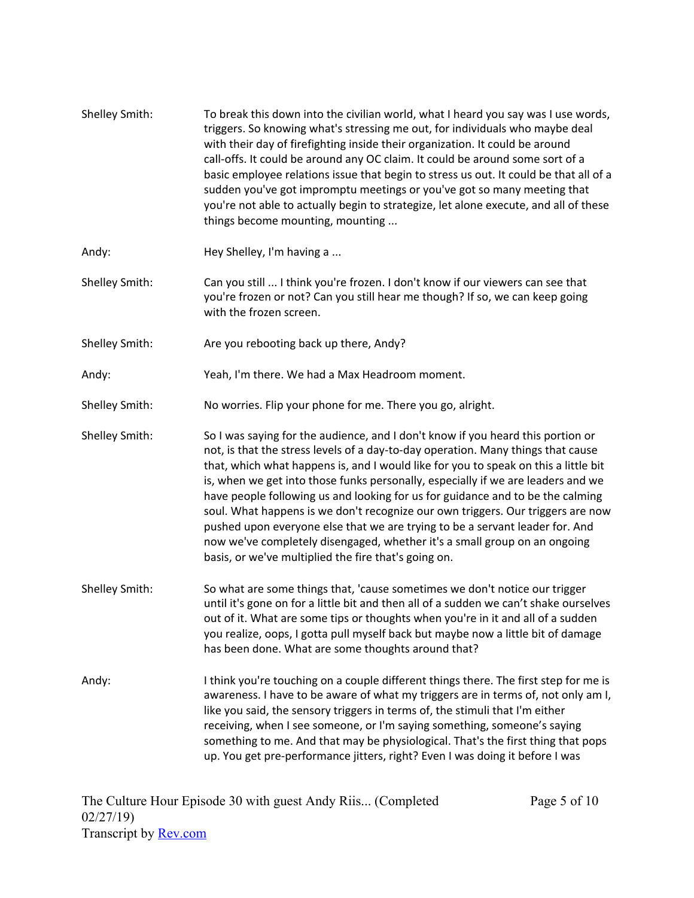| Shelley Smith: | To break this down into the civilian world, what I heard you say was I use words,<br>triggers. So knowing what's stressing me out, for individuals who maybe deal<br>with their day of firefighting inside their organization. It could be around<br>call-offs. It could be around any OC claim. It could be around some sort of a<br>basic employee relations issue that begin to stress us out. It could be that all of a<br>sudden you've got impromptu meetings or you've got so many meeting that<br>you're not able to actually begin to strategize, let alone execute, and all of these<br>things become mounting, mounting                                                                                                       |
|----------------|------------------------------------------------------------------------------------------------------------------------------------------------------------------------------------------------------------------------------------------------------------------------------------------------------------------------------------------------------------------------------------------------------------------------------------------------------------------------------------------------------------------------------------------------------------------------------------------------------------------------------------------------------------------------------------------------------------------------------------------|
| Andy:          | Hey Shelley, I'm having a                                                                                                                                                                                                                                                                                                                                                                                                                                                                                                                                                                                                                                                                                                                |
| Shelley Smith: | Can you still  I think you're frozen. I don't know if our viewers can see that<br>you're frozen or not? Can you still hear me though? If so, we can keep going<br>with the frozen screen.                                                                                                                                                                                                                                                                                                                                                                                                                                                                                                                                                |
| Shelley Smith: | Are you rebooting back up there, Andy?                                                                                                                                                                                                                                                                                                                                                                                                                                                                                                                                                                                                                                                                                                   |
| Andy:          | Yeah, I'm there. We had a Max Headroom moment.                                                                                                                                                                                                                                                                                                                                                                                                                                                                                                                                                                                                                                                                                           |
| Shelley Smith: | No worries. Flip your phone for me. There you go, alright.                                                                                                                                                                                                                                                                                                                                                                                                                                                                                                                                                                                                                                                                               |
| Shelley Smith: | So I was saying for the audience, and I don't know if you heard this portion or<br>not, is that the stress levels of a day-to-day operation. Many things that cause<br>that, which what happens is, and I would like for you to speak on this a little bit<br>is, when we get into those funks personally, especially if we are leaders and we<br>have people following us and looking for us for guidance and to be the calming<br>soul. What happens is we don't recognize our own triggers. Our triggers are now<br>pushed upon everyone else that we are trying to be a servant leader for. And<br>now we've completely disengaged, whether it's a small group on an ongoing<br>basis, or we've multiplied the fire that's going on. |
| Shelley Smith: | So what are some things that, 'cause sometimes we don't notice our trigger<br>until it's gone on for a little bit and then all of a sudden we can't shake ourselves<br>out of it. What are some tips or thoughts when you're in it and all of a sudden<br>you realize, oops, I gotta pull myself back but maybe now a little bit of damage<br>has been done. What are some thoughts around that?                                                                                                                                                                                                                                                                                                                                         |
| Andy:          | I think you're touching on a couple different things there. The first step for me is<br>awareness. I have to be aware of what my triggers are in terms of, not only am I,<br>like you said, the sensory triggers in terms of, the stimuli that I'm either<br>receiving, when I see someone, or I'm saying something, someone's saying<br>something to me. And that may be physiological. That's the first thing that pops<br>up. You get pre-performance jitters, right? Even I was doing it before I was                                                                                                                                                                                                                                |

Page 5 of 10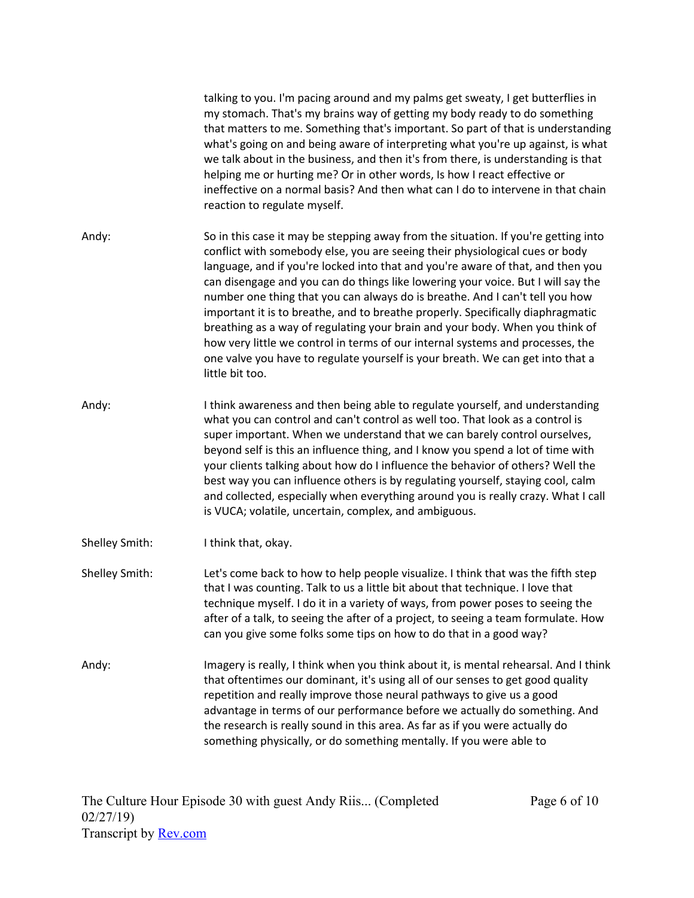|                | talking to you. I'm pacing around and my palms get sweaty, I get butterflies in<br>my stomach. That's my brains way of getting my body ready to do something<br>that matters to me. Something that's important. So part of that is understanding<br>what's going on and being aware of interpreting what you're up against, is what<br>we talk about in the business, and then it's from there, is understanding is that<br>helping me or hurting me? Or in other words, Is how I react effective or<br>ineffective on a normal basis? And then what can I do to intervene in that chain<br>reaction to regulate myself.                                                                                                                                                            |
|----------------|-------------------------------------------------------------------------------------------------------------------------------------------------------------------------------------------------------------------------------------------------------------------------------------------------------------------------------------------------------------------------------------------------------------------------------------------------------------------------------------------------------------------------------------------------------------------------------------------------------------------------------------------------------------------------------------------------------------------------------------------------------------------------------------|
| Andy:          | So in this case it may be stepping away from the situation. If you're getting into<br>conflict with somebody else, you are seeing their physiological cues or body<br>language, and if you're locked into that and you're aware of that, and then you<br>can disengage and you can do things like lowering your voice. But I will say the<br>number one thing that you can always do is breathe. And I can't tell you how<br>important it is to breathe, and to breathe properly. Specifically diaphragmatic<br>breathing as a way of regulating your brain and your body. When you think of<br>how very little we control in terms of our internal systems and processes, the<br>one valve you have to regulate yourself is your breath. We can get into that a<br>little bit too. |
| Andy:          | I think awareness and then being able to regulate yourself, and understanding<br>what you can control and can't control as well too. That look as a control is<br>super important. When we understand that we can barely control ourselves,<br>beyond self is this an influence thing, and I know you spend a lot of time with<br>your clients talking about how do I influence the behavior of others? Well the<br>best way you can influence others is by regulating yourself, staying cool, calm<br>and collected, especially when everything around you is really crazy. What I call<br>is VUCA; volatile, uncertain, complex, and ambiguous.                                                                                                                                   |
| Shelley Smith: | I think that, okay.                                                                                                                                                                                                                                                                                                                                                                                                                                                                                                                                                                                                                                                                                                                                                                 |
| Shelley Smith: | Let's come back to how to help people visualize. I think that was the fifth step<br>that I was counting. Talk to us a little bit about that technique. I love that<br>technique myself. I do it in a variety of ways, from power poses to seeing the<br>after of a talk, to seeing the after of a project, to seeing a team formulate. How<br>can you give some folks some tips on how to do that in a good way?                                                                                                                                                                                                                                                                                                                                                                    |
| Andy:          | Imagery is really, I think when you think about it, is mental rehearsal. And I think<br>that oftentimes our dominant, it's using all of our senses to get good quality<br>repetition and really improve those neural pathways to give us a good<br>advantage in terms of our performance before we actually do something. And<br>the research is really sound in this area. As far as if you were actually do<br>something physically, or do something mentally. If you were able to                                                                                                                                                                                                                                                                                                |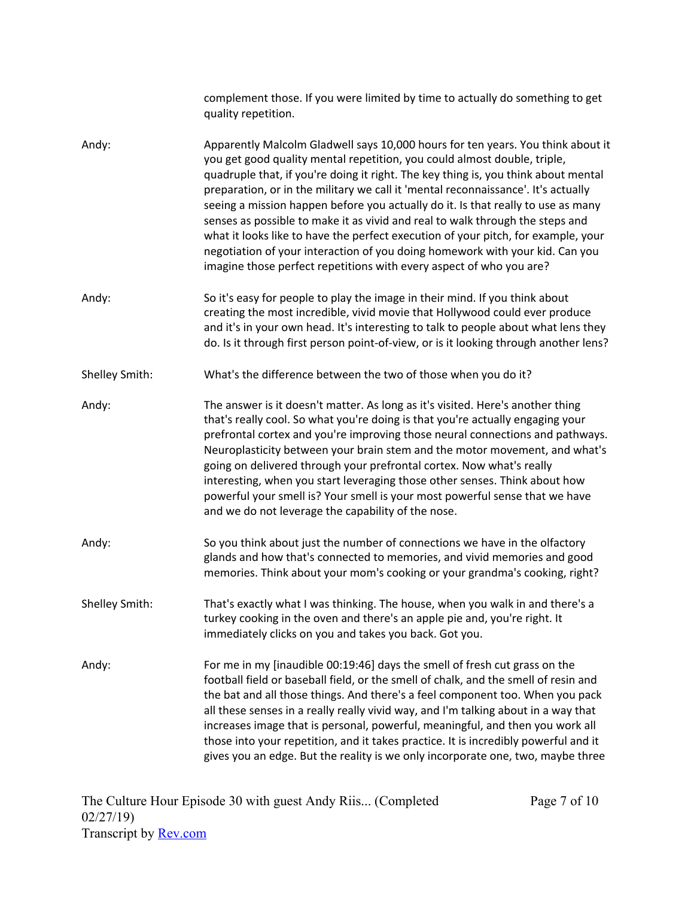|                | complement those. If you were limited by time to actually do something to get<br>quality repetition.                                                                                                                                                                                                                                                                                                                                                                                                                                                                                                                                                                                                                                                    |
|----------------|---------------------------------------------------------------------------------------------------------------------------------------------------------------------------------------------------------------------------------------------------------------------------------------------------------------------------------------------------------------------------------------------------------------------------------------------------------------------------------------------------------------------------------------------------------------------------------------------------------------------------------------------------------------------------------------------------------------------------------------------------------|
| Andy:          | Apparently Malcolm Gladwell says 10,000 hours for ten years. You think about it<br>you get good quality mental repetition, you could almost double, triple,<br>quadruple that, if you're doing it right. The key thing is, you think about mental<br>preparation, or in the military we call it 'mental reconnaissance'. It's actually<br>seeing a mission happen before you actually do it. Is that really to use as many<br>senses as possible to make it as vivid and real to walk through the steps and<br>what it looks like to have the perfect execution of your pitch, for example, your<br>negotiation of your interaction of you doing homework with your kid. Can you<br>imagine those perfect repetitions with every aspect of who you are? |
| Andy:          | So it's easy for people to play the image in their mind. If you think about<br>creating the most incredible, vivid movie that Hollywood could ever produce<br>and it's in your own head. It's interesting to talk to people about what lens they<br>do. Is it through first person point-of-view, or is it looking through another lens?                                                                                                                                                                                                                                                                                                                                                                                                                |
| Shelley Smith: | What's the difference between the two of those when you do it?                                                                                                                                                                                                                                                                                                                                                                                                                                                                                                                                                                                                                                                                                          |
| Andy:          | The answer is it doesn't matter. As long as it's visited. Here's another thing<br>that's really cool. So what you're doing is that you're actually engaging your<br>prefrontal cortex and you're improving those neural connections and pathways.<br>Neuroplasticity between your brain stem and the motor movement, and what's<br>going on delivered through your prefrontal cortex. Now what's really<br>interesting, when you start leveraging those other senses. Think about how<br>powerful your smell is? Your smell is your most powerful sense that we have<br>and we do not leverage the capability of the nose.                                                                                                                              |
| Andy:          | So you think about just the number of connections we have in the olfactory<br>glands and how that's connected to memories, and vivid memories and good<br>memories. Think about your mom's cooking or your grandma's cooking, right?                                                                                                                                                                                                                                                                                                                                                                                                                                                                                                                    |
| Shelley Smith: | That's exactly what I was thinking. The house, when you walk in and there's a<br>turkey cooking in the oven and there's an apple pie and, you're right. It<br>immediately clicks on you and takes you back. Got you.                                                                                                                                                                                                                                                                                                                                                                                                                                                                                                                                    |
| Andy:          | For me in my [inaudible 00:19:46] days the smell of fresh cut grass on the<br>football field or baseball field, or the smell of chalk, and the smell of resin and<br>the bat and all those things. And there's a feel component too. When you pack<br>all these senses in a really really vivid way, and I'm talking about in a way that<br>increases image that is personal, powerful, meaningful, and then you work all<br>those into your repetition, and it takes practice. It is incredibly powerful and it<br>gives you an edge. But the reality is we only incorporate one, two, maybe three                                                                                                                                                     |

Page 7 of 10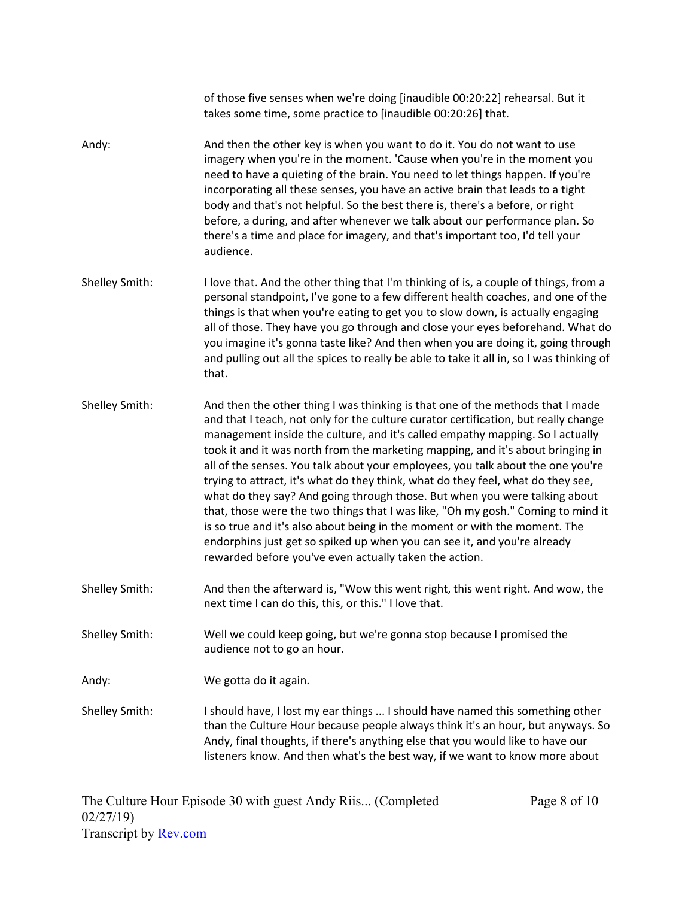takes some time, some practice to [inaudible 00:20:26] that. Andy: And then the other key is when you want to do it. You do not want to use imagery when you're in the moment. 'Cause when you're in the moment you need to have a quieting of the brain. You need to let things happen. If you're incorporating all these senses, you have an active brain that leads to a tight body and that's not helpful. So the best there is, there's a before, or right before, a during, and after whenever we talk about our performance plan. So there's a time and place for imagery, and that's important too, I'd tell your audience. Shelley Smith: I love that. And the other thing that I'm thinking of is, a couple of things, from a personal standpoint, I've gone to a few different health coaches, and one of the things is that when you're eating to get you to slow down, is actually engaging all of those. They have you go through and close your eyes beforehand. What do you imagine it's gonna taste like? And then when you are doing it, going through and pulling out all the spices to really be able to take it all in, so I was thinking of that. Shelley Smith: And then the other thing I was thinking is that one of the methods that I made and that I teach, not only for the culture curator certification, but really change management inside the culture, and it's called empathy mapping. So I actually took it and it was north from the marketing mapping, and it's about bringing in all of the senses. You talk about your employees, you talk about the one you're trying to attract, it's what do they think, what do they feel, what do they see, what do they say? And going through those. But when you were talking about that, those were the two things that I was like, "Oh my gosh." Coming to mind it is so true and it's also about being in the moment or with the moment. The endorphins just get so spiked up when you can see it, and you're already rewarded before you've even actually taken the action. Shelley Smith: And then the afterward is, "Wow this went right, this went right. And wow, the next time I can do this, this, or this." I love that. Shelley Smith: Well we could keep going, but we're gonna stop because I promised the audience not to go an hour. Andy: We gotta do it again. Shelley Smith: I should have, I lost my ear things ... I should have named this something other than the Culture Hour because people always think it's an hour, but anyways. So Andy, final thoughts, if there's anything else that you would like to have our listeners know. And then what's the best way, if we want to know more about

of those five senses when we're doing [inaudible 00:20:22] rehearsal. But it

The Culture Hour Episode 30 with guest Andy Riis... (Completed 02/27/19) Transcript by **[Rev.com](https://www.rev.com/)** 

Page 8 of 10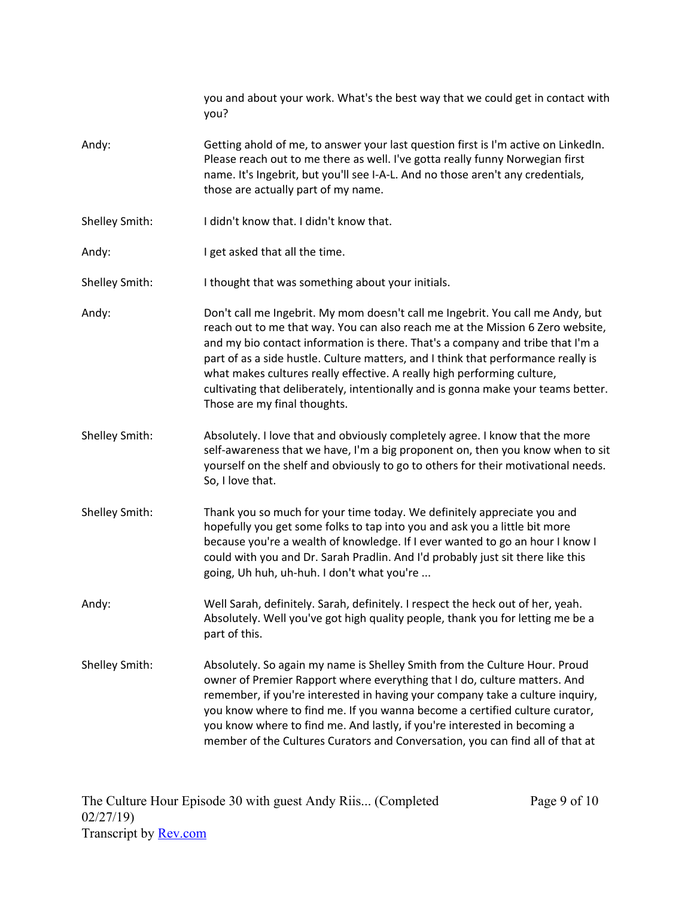|                | you and about your work. What's the best way that we could get in contact with<br>you?                                                                                                                                                                                                                                                                                                                                                                                                                                                  |
|----------------|-----------------------------------------------------------------------------------------------------------------------------------------------------------------------------------------------------------------------------------------------------------------------------------------------------------------------------------------------------------------------------------------------------------------------------------------------------------------------------------------------------------------------------------------|
| Andy:          | Getting ahold of me, to answer your last question first is I'm active on LinkedIn.<br>Please reach out to me there as well. I've gotta really funny Norwegian first<br>name. It's Ingebrit, but you'll see I-A-L. And no those aren't any credentials,<br>those are actually part of my name.                                                                                                                                                                                                                                           |
| Shelley Smith: | I didn't know that. I didn't know that.                                                                                                                                                                                                                                                                                                                                                                                                                                                                                                 |
| Andy:          | I get asked that all the time.                                                                                                                                                                                                                                                                                                                                                                                                                                                                                                          |
| Shelley Smith: | I thought that was something about your initials.                                                                                                                                                                                                                                                                                                                                                                                                                                                                                       |
| Andy:          | Don't call me Ingebrit. My mom doesn't call me Ingebrit. You call me Andy, but<br>reach out to me that way. You can also reach me at the Mission 6 Zero website,<br>and my bio contact information is there. That's a company and tribe that I'm a<br>part of as a side hustle. Culture matters, and I think that performance really is<br>what makes cultures really effective. A really high performing culture,<br>cultivating that deliberately, intentionally and is gonna make your teams better.<br>Those are my final thoughts. |
| Shelley Smith: | Absolutely. I love that and obviously completely agree. I know that the more<br>self-awareness that we have, I'm a big proponent on, then you know when to sit<br>yourself on the shelf and obviously to go to others for their motivational needs.<br>So, I love that.                                                                                                                                                                                                                                                                 |
| Shelley Smith: | Thank you so much for your time today. We definitely appreciate you and<br>hopefully you get some folks to tap into you and ask you a little bit more<br>because you're a wealth of knowledge. If I ever wanted to go an hour I know I<br>could with you and Dr. Sarah Pradlin. And I'd probably just sit there like this<br>going, Uh huh, uh-huh. I don't what you're                                                                                                                                                                 |
| Andy:          | Well Sarah, definitely. Sarah, definitely. I respect the heck out of her, yeah.<br>Absolutely. Well you've got high quality people, thank you for letting me be a<br>part of this.                                                                                                                                                                                                                                                                                                                                                      |
| Shelley Smith: | Absolutely. So again my name is Shelley Smith from the Culture Hour. Proud<br>owner of Premier Rapport where everything that I do, culture matters. And<br>remember, if you're interested in having your company take a culture inquiry,<br>you know where to find me. If you wanna become a certified culture curator,<br>you know where to find me. And lastly, if you're interested in becoming a<br>member of the Cultures Curators and Conversation, you can find all of that at                                                   |